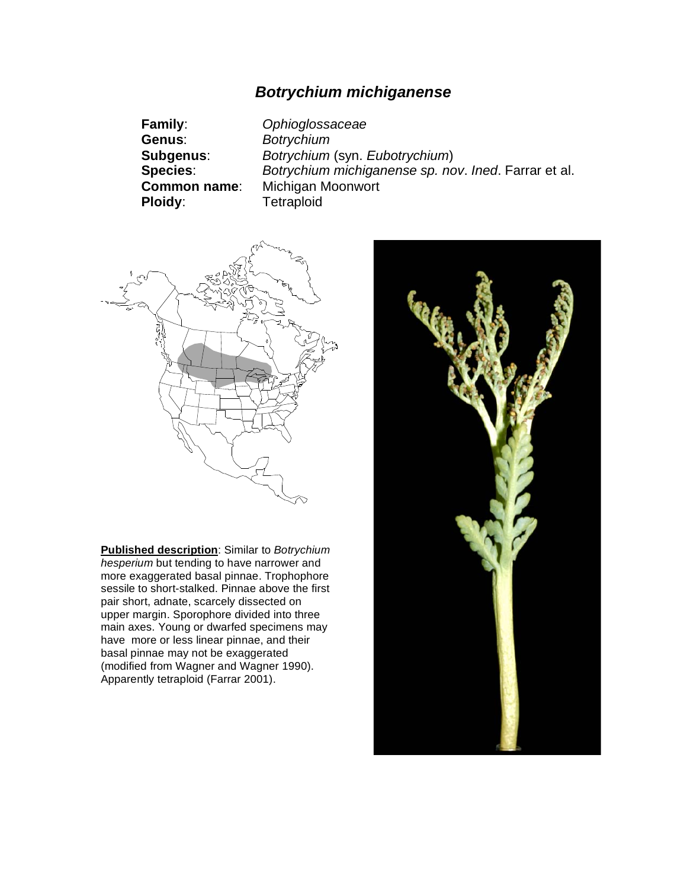## *Botrychium michiganense*

**Family**: *Ophioglossaceae* **Genus**: *Botrychium* **Subgenus**: *Botrychium* (syn. *Eubotrychium*) **Species**: *Botrychium michiganense sp. nov*. *Ined*. Farrar et al. **Michigan Moonwort Ploidy**: Tetraploid



**Published description**: Similar to *Botrychium hesperium* but tending to have narrower and more exaggerated basal pinnae. Trophophore sessile to short-stalked. Pinnae above the first pair short, adnate, scarcely dissected on upper margin. Sporophore divided into three main axes. Young or dwarfed specimens may have more or less linear pinnae, and their basal pinnae may not be exaggerated (modified from Wagner and Wagner 1990). Apparently tetraploid (Farrar 2001).

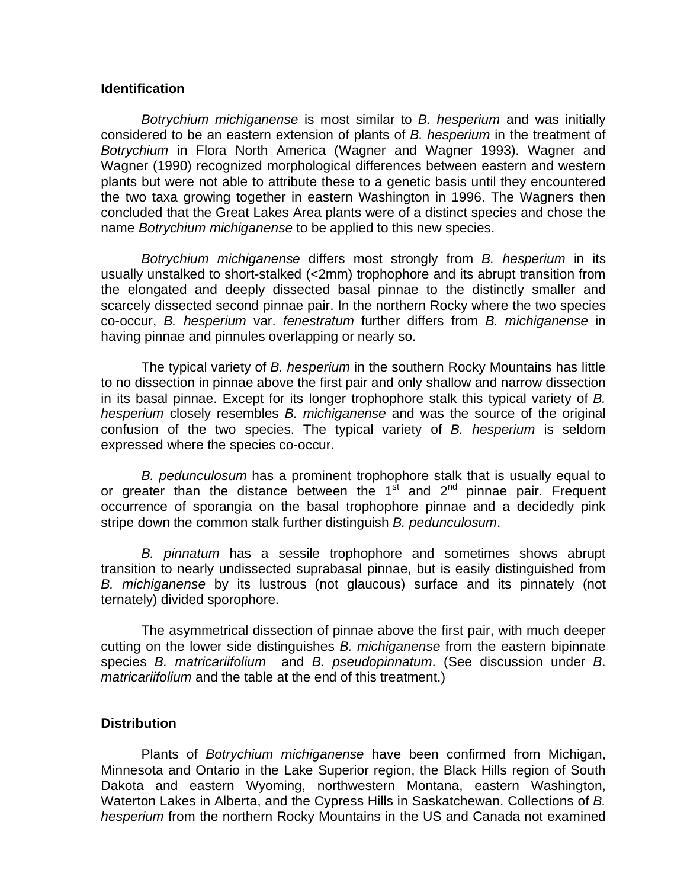## **Identification**

*Botrychium michiganense* is most similar to *B. hesperium* and was initially considered to be an eastern extension of plants of *B. hesperium* in the treatment of *Botrychium* in Flora North America (Wagner and Wagner 1993). Wagner and Wagner (1990) recognized morphological differences between eastern and western plants but were not able to attribute these to a genetic basis until they encountered the two taxa growing together in eastern Washington in 1996. The Wagners then concluded that the Great Lakes Area plants were of a distinct species and chose the name *Botrychium michiganense* to be applied to this new species.

*Botrychium michiganense* differs most strongly from *B. hesperium* in its usually unstalked to short-stalked (<2mm) trophophore and its abrupt transition from the elongated and deeply dissected basal pinnae to the distinctly smaller and scarcely dissected second pinnae pair. In the northern Rocky where the two species co-occur, *B. hesperium* var. *fenestratum* further differs from *B. michiganense* in having pinnae and pinnules overlapping or nearly so.

The typical variety of *B. hesperium* in the southern Rocky Mountains has little to no dissection in pinnae above the first pair and only shallow and narrow dissection in its basal pinnae. Except for its longer trophophore stalk this typical variety of *B. hesperium* closely resembles *B. michiganense* and was the source of the original confusion of the two species. The typical variety of *B. hesperium* is seldom expressed where the species co-occur.

*B. pedunculosum* has a prominent trophophore stalk that is usually equal to or greater than the distance between the  $1<sup>st</sup>$  and  $2<sup>nd</sup>$  pinnae pair. Frequent occurrence of sporangia on the basal trophophore pinnae and a decidedly pink stripe down the common stalk further distinguish *B. pedunculosum*.

*B. pinnatum* has a sessile trophophore and sometimes shows abrupt transition to nearly undissected suprabasal pinnae, but is easily distinguished from *B. michiganense* by its lustrous (not glaucous) surface and its pinnately (not ternately) divided sporophore.

The asymmetrical dissection of pinnae above the first pair, with much deeper cutting on the lower side distinguishes *B. michiganense* from the eastern bipinnate species *B. matricariifolium* and *B. pseudopinnatum*. (See discussion under *B*. *matricariifolium* and the table at the end of this treatment.)

## **Distribution**

 Plants of *Botrychium michiganense* have been confirmed from Michigan, Minnesota and Ontario in the Lake Superior region, the Black Hills region of South Dakota and eastern Wyoming, northwestern Montana, eastern Washington, Waterton Lakes in Alberta, and the Cypress Hills in Saskatchewan. Collections of *B. hesperium* from the northern Rocky Mountains in the US and Canada not examined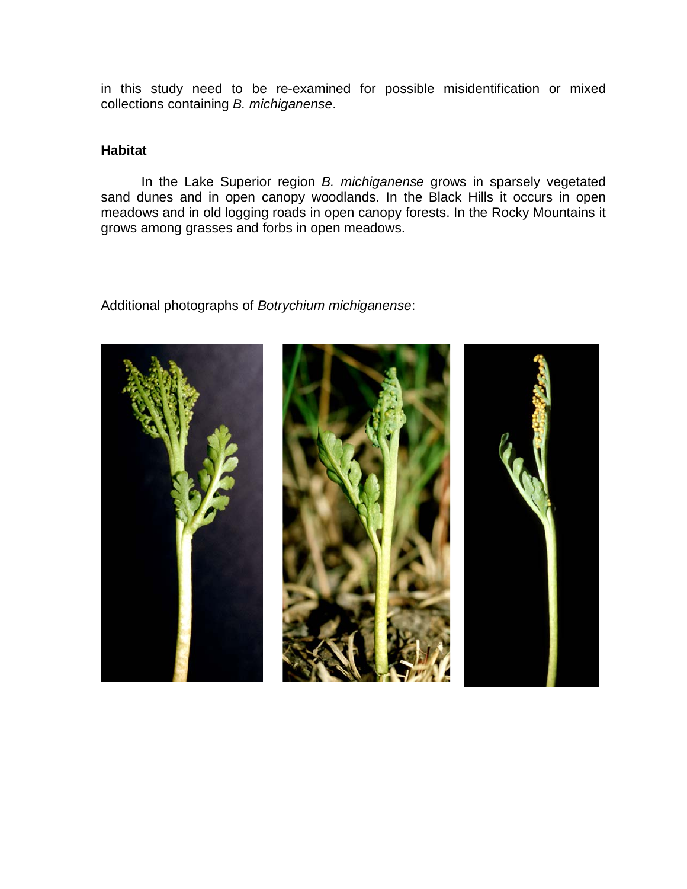in this study need to be re-examined for possible misidentification or mixed collections containing *B. michiganense*.

## **Habitat**

 In the Lake Superior region *B. michiganense* grows in sparsely vegetated sand dunes and in open canopy woodlands. In the Black Hills it occurs in open meadows and in old logging roads in open canopy forests. In the Rocky Mountains it grows among grasses and forbs in open meadows.

Additional photographs of *Botrychium michiganense*: